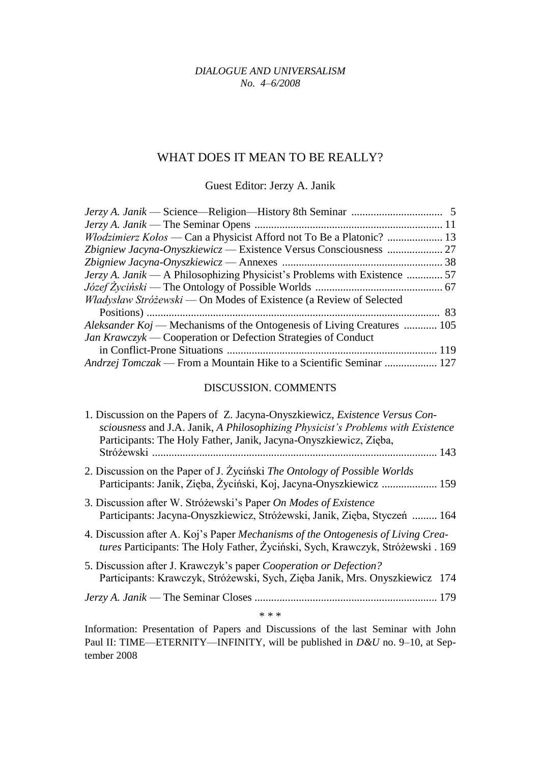## *DIALOGUE AND UNIVERSALISM No. 4–6/2008*

## WHAT DOES IT MEAN TO BE REALLY?

Guest Editor: Jerzy A. Janik

| Włodzimierz Kołos — Can a Physicist Afford not To Be a Platonic?  13           |  |
|--------------------------------------------------------------------------------|--|
|                                                                                |  |
|                                                                                |  |
| Jerzy A. Janik — A Philosophizing Physicist's Problems with Existence  57      |  |
|                                                                                |  |
| Władysław Stróżewski — On Modes of Existence (a Review of Selected             |  |
|                                                                                |  |
| <i>Aleksander Koj</i> — Mechanisms of the Ontogenesis of Living Creatures  105 |  |
| Jan Krawczyk — Cooperation or Defection Strategies of Conduct                  |  |
|                                                                                |  |
| Andrzej Tomczak — From a Mountain Hike to a Scientific Seminar  127            |  |

## DISCUSSION. COMMENTS

| 1. Discussion on the Papers of Z. Jacyna-Onyszkiewicz, Existence Versus Con-<br>sciousness and J.A. Janik, A Philosophizing Physicist's Problems with Existence<br>Participants: The Holy Father, Janik, Jacyna-Onyszkiewicz, Zięba, |
|--------------------------------------------------------------------------------------------------------------------------------------------------------------------------------------------------------------------------------------|
| 2. Discussion on the Paper of J. Życiński The Ontology of Possible Worlds<br>Participants: Janik, Zieba, Życiński, Koj, Jacyna-Onyszkiewicz  159                                                                                     |
| 3. Discussion after W. Stróżewski's Paper On Modes of Existence<br>Participants: Jacyna-Onyszkiewicz, Stróżewski, Janik, Zięba, Styczeń  164                                                                                         |
| 4. Discussion after A. Koj's Paper <i>Mechanisms of the Ontogenesis of Living Crea</i> -<br>tures Participants: The Holy Father, Życiński, Sych, Krawczyk, Stróżewski . 169                                                          |
| 5. Discussion after J. Krawczyk's paper Cooperation or Defection?<br>Participants: Krawczyk, Stróżewski, Sych, Zięba Janik, Mrs. Onyszkiewicz 174                                                                                    |
|                                                                                                                                                                                                                                      |
| * * *                                                                                                                                                                                                                                |

Information: Presentation of Papers and Discussions of the last Seminar with John Paul II: TIME—ETERNITY—INFINITY, will be published in *D&U* no. 9–10, at September 2008